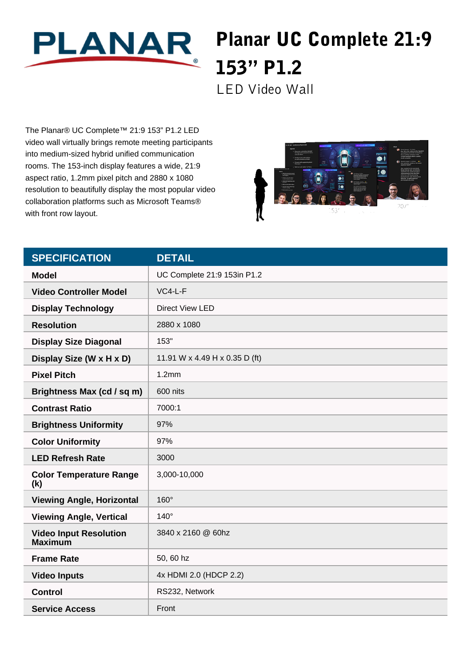

## Planar UC Complete 21:9 153" P1.2

LED Video Wall

The Planar® UC Complete™ 21:9 153" P1.2 LED video wall virtually brings remote meeting participants into medium-sized hybrid unified communication rooms. The 153-inch display features a wide, 21:9 aspect ratio, 1.2mm pixel pitch and 2880 x 1080 resolution to beautifully display the most popular video collaboration platforms such as Microsoft Teams® with front row layout.



| <b>SPECIFICATION</b>                            | <b>DETAIL</b>                  |
|-------------------------------------------------|--------------------------------|
| <b>Model</b>                                    | UC Complete 21:9 153in P1.2    |
| <b>Video Controller Model</b>                   | $VC4-L-F$                      |
| <b>Display Technology</b>                       | Direct View LED                |
| <b>Resolution</b>                               | 2880 x 1080                    |
| <b>Display Size Diagonal</b>                    | 153"                           |
| Display Size (W x H x D)                        | 11.91 W x 4.49 H x 0.35 D (ft) |
| <b>Pixel Pitch</b>                              | 1.2mm                          |
| Brightness Max (cd / sq m)                      | 600 nits                       |
| <b>Contrast Ratio</b>                           | 7000:1                         |
| <b>Brightness Uniformity</b>                    | 97%                            |
| <b>Color Uniformity</b>                         | 97%                            |
| <b>LED Refresh Rate</b>                         | 3000                           |
| <b>Color Temperature Range</b><br>(k)           | 3,000-10,000                   |
| <b>Viewing Angle, Horizontal</b>                | 160°                           |
| <b>Viewing Angle, Vertical</b>                  | $140^\circ$                    |
| <b>Video Input Resolution</b><br><b>Maximum</b> | 3840 x 2160 @ 60hz             |
| <b>Frame Rate</b>                               | 50, 60 hz                      |
| <b>Video Inputs</b>                             | 4x HDMI 2.0 (HDCP 2.2)         |
| <b>Control</b>                                  | RS232, Network                 |
| <b>Service Access</b>                           | Front                          |